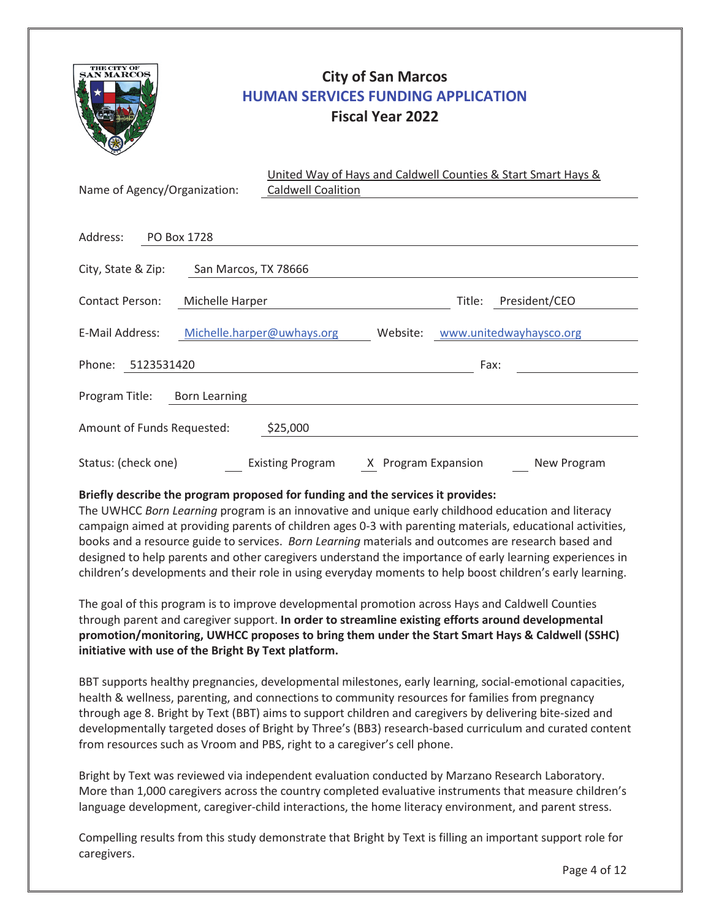

# **City of San Marcos HUMAN SERVICES FUNDING APPLICATION Fiscal Year 2022**

| Name of Agency/Organization:       |                      | United Way of Hays and Caldwell Counties & Start Smart Hays &<br><b>Caldwell Coalition</b> |                     |        |                         |
|------------------------------------|----------------------|--------------------------------------------------------------------------------------------|---------------------|--------|-------------------------|
| Address:                           | PO Box 1728          |                                                                                            |                     |        |                         |
| City, State & Zip:                 | San Marcos, TX 78666 |                                                                                            |                     |        |                         |
| Contact Person:<br>Michelle Harper |                      |                                                                                            |                     | Title: | President/CEO           |
| E-Mail Address:                    |                      | Michelle.harper@uwhays.org                                                                 | Website:            |        | www.unitedwayhaysco.org |
| Phone:<br>5123531420               |                      |                                                                                            |                     | Fax:   |                         |
| Program Title:                     | <b>Born Learning</b> |                                                                                            |                     |        |                         |
| Amount of Funds Requested:         |                      | \$25,000                                                                                   |                     |        |                         |
| Status: (check one)                |                      | <b>Existing Program</b>                                                                    | X Program Expansion |        | New Program             |

# **Briefly describe the program proposed for funding and the services it provides:**

The UWHCC *Born Learning* program is an innovative and unique early childhood education and literacy campaign aimed at providing parents of children ages 0-3 with parenting materials, educational activities, books and a resource guide to services. *Born Learning* materials and outcomes are research based and designed to help parents and other caregivers understand the importance of early learning experiences in children's developments and their role in using everyday moments to help boost children's early learning.

The goal of this program is to improve developmental promotion across Hays and Caldwell Counties through parent and caregiver support. **In order to streamline existing efforts around developmental promotion/monitoring, UWHCC proposes to bring them under the Start Smart Hays & Caldwell (SSHC) initiative with use of the Bright By Text platform.**

BBT supports healthy pregnancies, developmental milestones, early learning, social-emotional capacities, health & wellness, parenting, and connections to community resources for families from pregnancy through age 8. Bright by Text (BBT) aims to support children and caregivers by delivering bite-sized and developmentally targeted doses of Bright by Three's (BB3) research-based curriculum and curated content from resources such as Vroom and PBS, right to a caregiver's cell phone.

Bright by Text was reviewed via independent evaluation conducted by Marzano Research Laboratory. More than 1,000 caregivers across the country completed evaluative instruments that measure children's language development, caregiver-child interactions, the home literacy environment, and parent stress.

Compelling results from this study demonstrate that Bright by Text is filling an important support role for caregivers.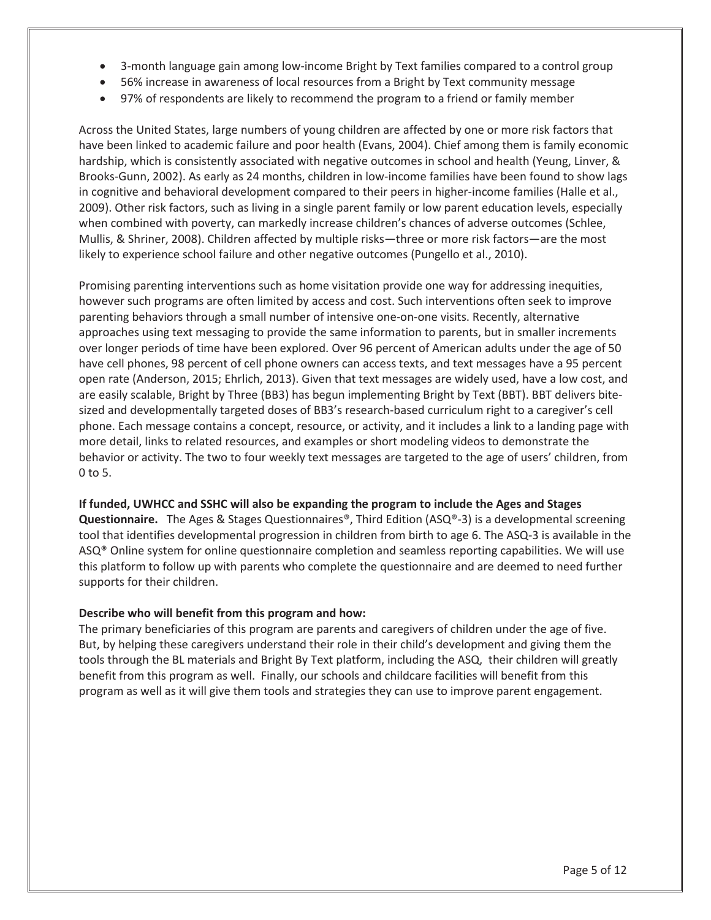- 3-month language gain among low-income Bright by Text families compared to a control group
- 56% increase in awareness of local resources from a Bright by Text community message
- 97% of respondents are likely to recommend the program to a friend or family member

Across the United States, large numbers of young children are affected by one or more risk factors that have been linked to academic failure and poor health (Evans, 2004). Chief among them is family economic hardship, which is consistently associated with negative outcomes in school and health (Yeung, Linver, & Brooks-Gunn, 2002). As early as 24 months, children in low-income families have been found to show lags in cognitive and behavioral development compared to their peers in higher-income families (Halle et al., 2009). Other risk factors, such as living in a single parent family or low parent education levels, especially when combined with poverty, can markedly increase children's chances of adverse outcomes (Schlee, Mullis, & Shriner, 2008). Children affected by multiple risks—three or more risk factors—are the most likely to experience school failure and other negative outcomes (Pungello et al., 2010).

Promising parenting interventions such as home visitation provide one way for addressing inequities, however such programs are often limited by access and cost. Such interventions often seek to improve parenting behaviors through a small number of intensive one-on-one visits. Recently, alternative approaches using text messaging to provide the same information to parents, but in smaller increments over longer periods of time have been explored. Over 96 percent of American adults under the age of 50 have cell phones, 98 percent of cell phone owners can access texts, and text messages have a 95 percent open rate (Anderson, 2015; Ehrlich, 2013). Given that text messages are widely used, have a low cost, and are easily scalable, Bright by Three (BB3) has begun implementing Bright by Text (BBT). BBT delivers bitesized and developmentally targeted doses of BB3's research-based curriculum right to a caregiver's cell phone. Each message contains a concept, resource, or activity, and it includes a link to a landing page with more detail, links to related resources, and examples or short modeling videos to demonstrate the behavior or activity. The two to four weekly text messages are targeted to the age of users' children, from 0 to 5.

#### **If funded, UWHCC and SSHC will also be expanding the program to include the Ages and Stages**

**Questionnaire.** The Ages & Stages Questionnaires®, Third Edition (ASQ®-3) is a developmental screening tool that identifies developmental progression in children from birth to age 6. The ASQ-3 is available in the ASQ® Online system for online questionnaire completion and seamless reporting capabilities. We will use this platform to follow up with parents who complete the questionnaire and are deemed to need further supports for their children.

### **Describe who will benefit from this program and how:**

The primary beneficiaries of this program are parents and caregivers of children under the age of five. But, by helping these caregivers understand their role in their child's development and giving them the tools through the BL materials and Bright By Text platform, including the ASQ, their children will greatly benefit from this program as well. Finally, our schools and childcare facilities will benefit from this program as well as it will give them tools and strategies they can use to improve parent engagement.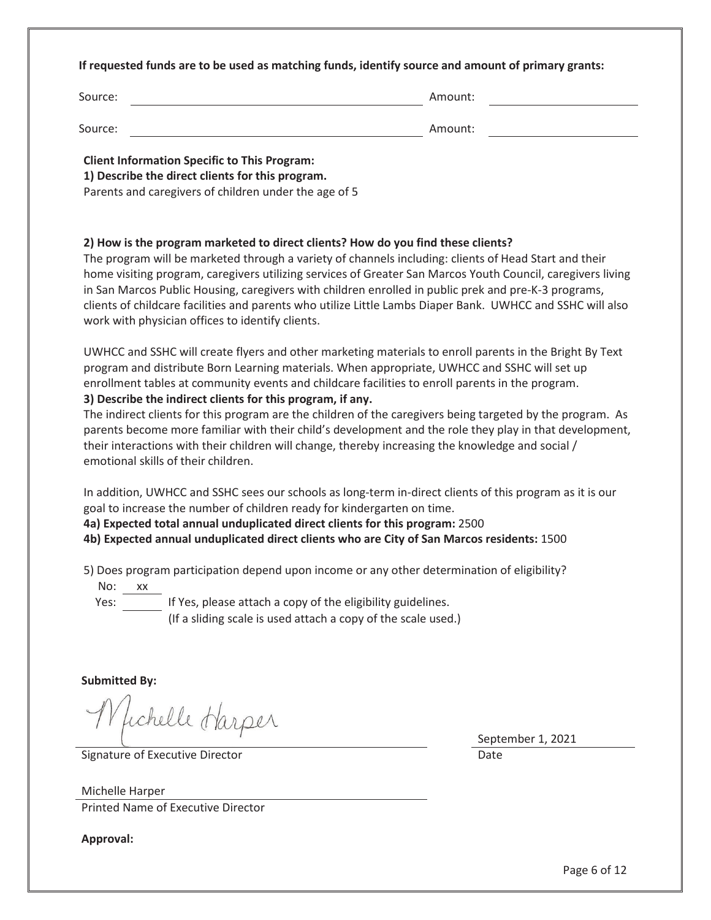#### **If requested funds are to be used as matching funds, identify source and amount of primary grants:**

| Source: | Amount: |
|---------|---------|
| Source: | Amount: |

**Client Information Specific to This Program:** 

**1) Describe the direct clients for this program.**

Parents and caregivers of children under the age of 5

### **2) How is the program marketed to direct clients? How do you find these clients?**

The program will be marketed through a variety of channels including: clients of Head Start and their home visiting program, caregivers utilizing services of Greater San Marcos Youth Council, caregivers living in San Marcos Public Housing, caregivers with children enrolled in public prek and pre-K-3 programs, clients of childcare facilities and parents who utilize Little Lambs Diaper Bank. UWHCC and SSHC will also work with physician offices to identify clients.

UWHCC and SSHC will create flyers and other marketing materials to enroll parents in the Bright By Text program and distribute Born Learning materials. When appropriate, UWHCC and SSHC will set up enrollment tables at community events and childcare facilities to enroll parents in the program.

### **3) Describe the indirect clients for this program, if any.**

The indirect clients for this program are the children of the caregivers being targeted by the program. As parents become more familiar with their child's development and the role they play in that development, their interactions with their children will change, thereby increasing the knowledge and social / emotional skills of their children.

In addition, UWHCC and SSHC sees our schools as long-term in-direct clients of this program as it is our goal to increase the number of children ready for kindergarten on time.

**4a) Expected total annual unduplicated direct clients for this program:** 2500

**4b) Expected annual unduplicated direct clients who are City of San Marcos residents:** 1500

5) Does program participation depend upon income or any other determination of eligibility?

No: xx

Yes:  $\frac{1}{\sqrt{1-\frac{1}{\sqrt{1-\frac{1}{\sqrt{1-\frac{1}{\sqrt{1-\frac{1}{\sqrt{1-\frac{1}{\sqrt{1-\frac{1}{\sqrt{1-\frac{1}{\sqrt{1-\frac{1}{\sqrt{1-\frac{1}{\sqrt{1-\frac{1}{\sqrt{1-\frac{1}{\sqrt{1-\frac{1}{\sqrt{1-\frac{1}{\sqrt{1-\frac{1}{\sqrt{1-\frac{1}{\sqrt{1-\frac{1}{\sqrt{1-\frac{1}{\sqrt{1-\frac{1}{\sqrt{1-\frac{1}{\sqrt{1-\frac{1}{\sqrt{1-\frac{1}{\sqrt{1-\frac{1}{\sqrt{1-\frac{1}{\sqrt{1$ 

(If a sliding scale is used attach a copy of the scale used.)

**Submitted By:** 

Whichelle Harper

Signature of Executive Director **Date** Date of Executive Director **Date** 

September 1, 2021

Michelle Harper Printed Name of Executive Director

**Approval:**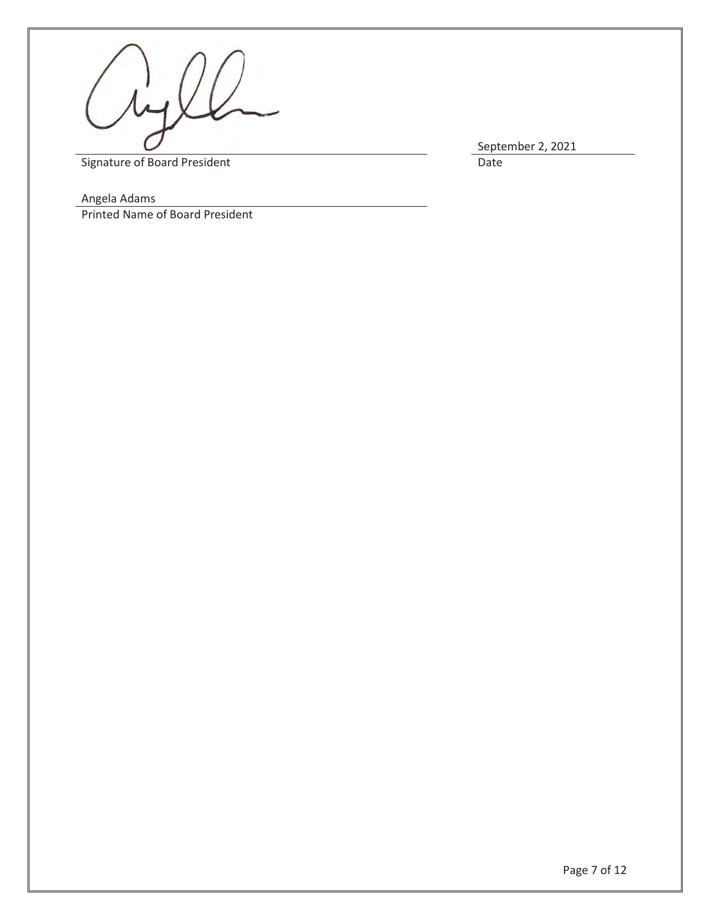

September 2, 2021<br>Date

Signature of Board President

Angela Adams

Printed Name of Board President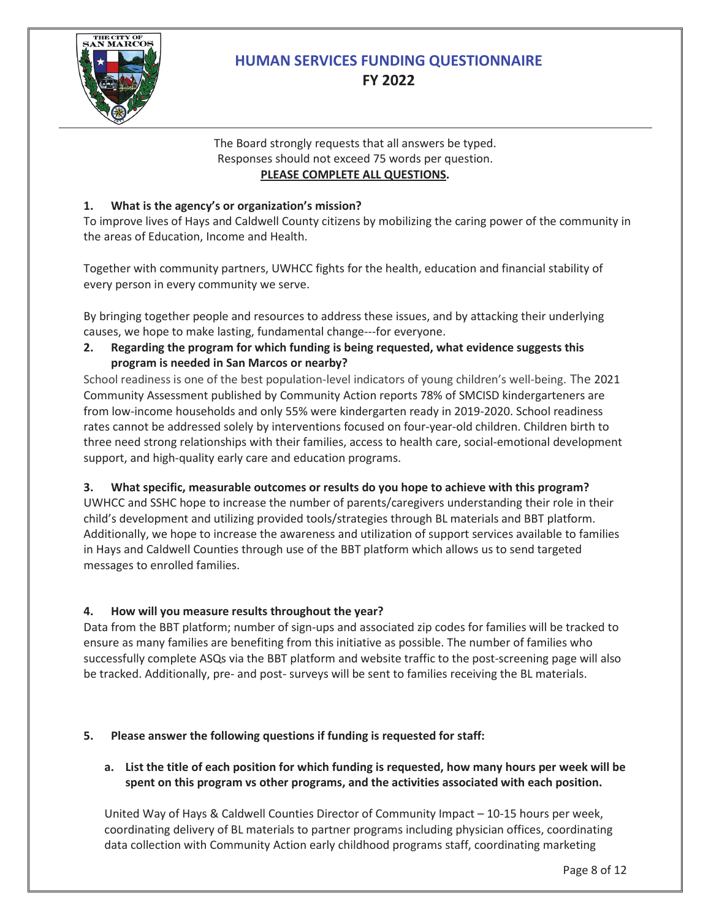

# **HUMAN SERVICES FUNDING QUESTIONNAIRE FY 2022**

# The Board strongly requests that all answers be typed. Responses should not exceed 75 words per question. **PLEASE COMPLETE ALL QUESTIONS.**

# **1. What is the agency's or organization's mission?**

To improve lives of Hays and Caldwell County citizens by mobilizing the caring power of the community in the areas of Education, Income and Health.

Together with community partners, UWHCC fights for the health, education and financial stability of every person in every community we serve.

By bringing together people and resources to address these issues, and by attacking their underlying causes, we hope to make lasting, fundamental change---for everyone.

**2. Regarding the program for which funding is being requested, what evidence suggests this program is needed in San Marcos or nearby?**

School readiness is one of the best population-level indicators of young children's well-being. The 2021 Community Assessment published by Community Action reports 78% of SMCISD kindergarteners are from low-income households and only 55% were kindergarten ready in 2019-2020. School readiness rates cannot be addressed solely by interventions focused on four-year-old children. Children birth to three need strong relationships with their families, access to health care, social-emotional development support, and high-quality early care and education programs.

# **3. What specific, measurable outcomes or results do you hope to achieve with this program?**

UWHCC and SSHC hope to increase the number of parents/caregivers understanding their role in their child's development and utilizing provided tools/strategies through BL materials and BBT platform. Additionally, we hope to increase the awareness and utilization of support services available to families in Hays and Caldwell Counties through use of the BBT platform which allows us to send targeted messages to enrolled families.

# **4. How will you measure results throughout the year?**

Data from the BBT platform; number of sign-ups and associated zip codes for families will be tracked to ensure as many families are benefiting from this initiative as possible. The number of families who successfully complete ASQs via the BBT platform and website traffic to the post-screening page will also be tracked. Additionally, pre- and post- surveys will be sent to families receiving the BL materials.

# **5. Please answer the following questions if funding is requested for staff:**

# **a. List the title of each position for which funding is requested, how many hours per week will be spent on this program vs other programs, and the activities associated with each position.**

United Way of Hays & Caldwell Counties Director of Community Impact – 10-15 hours per week, coordinating delivery of BL materials to partner programs including physician offices, coordinating data collection with Community Action early childhood programs staff, coordinating marketing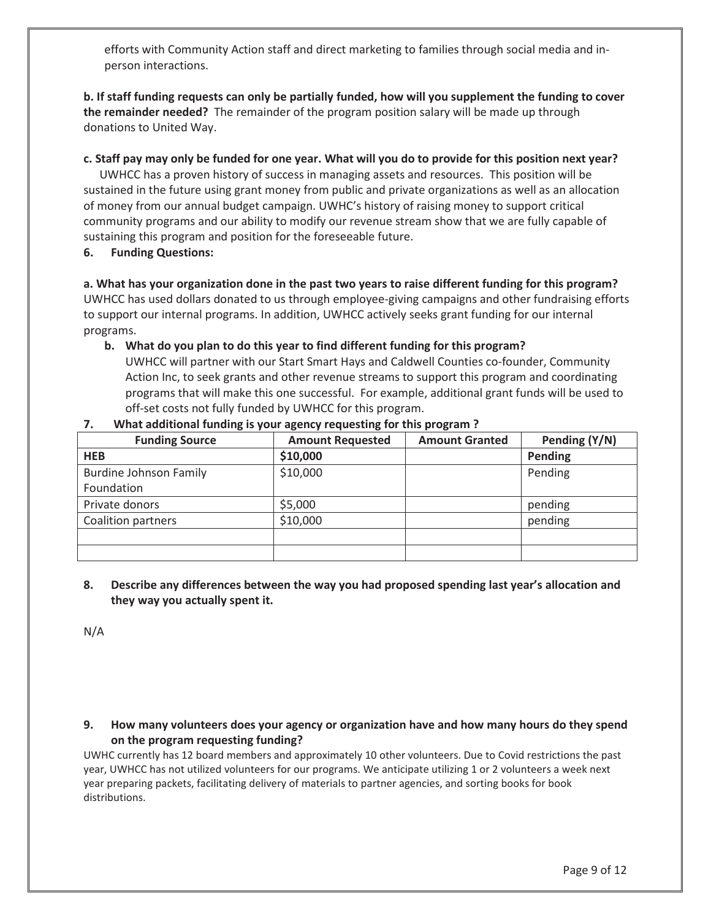efforts with Community Action staff and direct marketing to families through social media and inperson interactions.

**b. If staff funding requests can only be partially funded, how will you supplement the funding to cover the remainder needed?** The remainder of the program position salary will be made up through donations to United Way.

#### **c. Staff pay may only be funded for one year. What will you do to provide for this position next year?**

UWHCC has a proven history of success in managing assets and resources. This position will be sustained in the future using grant money from public and private organizations as well as an allocation of money from our annual budget campaign. UWHC's history of raising money to support critical community programs and our ability to modify our revenue stream show that we are fully capable of sustaining this program and position for the foreseeable future.

**6. Funding Questions:**

**a. What has your organization done in the past two years to raise different funding for this program?** UWHCC has used dollars donated to us through employee-giving campaigns and other fundraising efforts to support our internal programs. In addition, UWHCC actively seeks grant funding for our internal programs.

**b. What do you plan to do this year to find different funding for this program?**

UWHCC will partner with our Start Smart Hays and Caldwell Counties co-founder, Community Action Inc, to seek grants and other revenue streams to support this program and coordinating programs that will make this one successful. For example, additional grant funds will be used to off-set costs not fully funded by UWHCC for this program.

| <b>Funding Source</b>         | <b>Amount Requested</b> | <b>Amount Granted</b> | Pending (Y/N) |
|-------------------------------|-------------------------|-----------------------|---------------|
| <b>HEB</b>                    | \$10,000                |                       | Pending       |
| <b>Burdine Johnson Family</b> | \$10,000                |                       | Pending       |
| Foundation                    |                         |                       |               |
| Private donors                | \$5,000                 |                       | pending       |
| Coalition partners            | \$10,000                |                       | pending       |
|                               |                         |                       |               |
|                               |                         |                       |               |

#### **7. What additional funding is your agency requesting for this program ?**

**8. Describe any differences between the way you had proposed spending last year's allocation and they way you actually spent it.**

N/A

### **9. How many volunteers does your agency or organization have and how many hours do they spend on the program requesting funding?**

UWHC currently has 12 board members and approximately 10 other volunteers. Due to Covid restrictions the past year, UWHCC has not utilized volunteers for our programs. We anticipate utilizing 1 or 2 volunteers a week next year preparing packets, facilitating delivery of materials to partner agencies, and sorting books for book distributions.